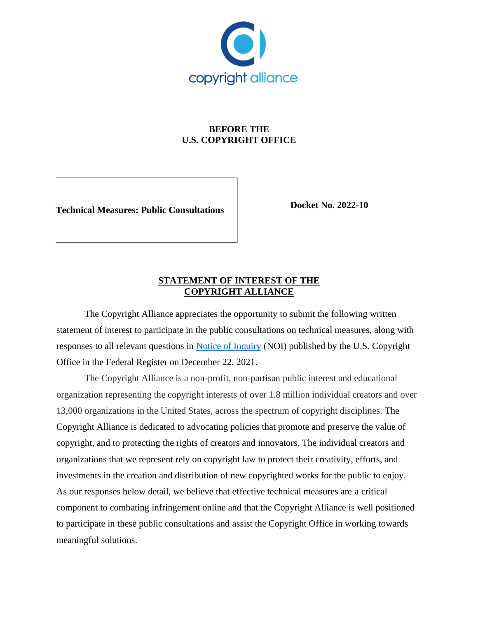

## **BEFORE THE U.S. COPYRIGHT OFFICE**

**Technical Measures: Public Consultations**

**Docket No. 2022-10**

## **STATEMENT OF INTEREST OF THE COPYRIGHT ALLIANCE**

The Copyright Alliance appreciates the opportunity to submit the following written statement of interest to participate in the public consultations on technical measures, along with responses to all relevant questions in [Notice of Inquiry](https://www.federalregister.gov/documents/2021/12/22/2021-27705/technical-measures-public-consultations) (NOI) published by the U.S. Copyright Office in the Federal Register on December 22, 2021.

The Copyright Alliance is a non-profit, non-partisan public interest and educational organization representing the copyright interests of over 1.8 million individual creators and over 13,000 organizations in the United States, across the spectrum of copyright disciplines. The Copyright Alliance is dedicated to advocating policies that promote and preserve the value of copyright, and to protecting the rights of creators and innovators. The individual creators and organizations that we represent rely on copyright law to protect their creativity, efforts, and investments in the creation and distribution of new copyrighted works for the public to enjoy. As our responses below detail, we believe that effective technical measures are a critical component to combating infringement online and that the Copyright Alliance is well positioned to participate in these public consultations and assist the Copyright Office in working towards meaningful solutions.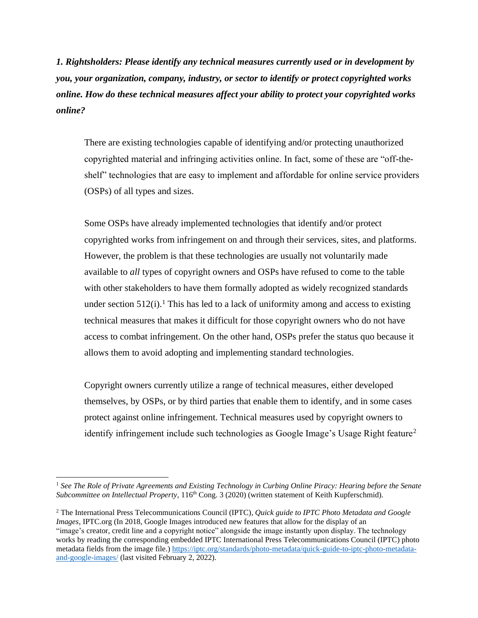*1. Rightsholders: Please identify any technical measures currently used or in development by you, your organization, company, industry, or sector to identify or protect copyrighted works online. How do these technical measures affect your ability to protect your copyrighted works online?*

There are existing technologies capable of identifying and/or protecting unauthorized copyrighted material and infringing activities online. In fact, some of these are "off-theshelf" technologies that are easy to implement and affordable for online service providers (OSPs) of all types and sizes.

Some OSPs have already implemented technologies that identify and/or protect copyrighted works from infringement on and through their services, sites, and platforms. However, the problem is that these technologies are usually not voluntarily made available to *all* types of copyright owners and OSPs have refused to come to the table with other stakeholders to have them formally adopted as widely recognized standards under section  $512(i)$ .<sup>1</sup> This has led to a lack of uniformity among and access to existing technical measures that makes it difficult for those copyright owners who do not have access to combat infringement. On the other hand, OSPs prefer the status quo because it allows them to avoid adopting and implementing standard technologies.

Copyright owners currently utilize a range of technical measures, either developed themselves, by OSPs, or by third parties that enable them to identify, and in some cases protect against online infringement. Technical measures used by copyright owners to identify infringement include such technologies as Google Image's Usage Right feature<sup>2</sup>

<sup>1</sup> *See The Role of Private Agreements and Existing Technology in Curbing Online Piracy: Hearing before the Senate Subcommittee on Intellectual Property*, 116<sup>th</sup> Cong. 3 (2020) (written statement of Keith Kupferschmid).

<sup>2</sup> The International Press Telecommunications Council (IPTC), *Quick guide to IPTC Photo Metadata and Google Images*, IPTC.org (In 2018, Google Images introduced new features that allow for the display of an "image's creator, credit line and a copyright notice" alongside the image instantly upon display. The technology works by reading the corresponding embedded IPTC International Press Telecommunications Council (IPTC) photo metadata fields from the image file.[\) https://iptc.org/standards/photo-metadata/quick-guide-to-iptc-photo-metadata](https://iptc.org/standards/photo-metadata/quick-guide-to-iptc-photo-metadata-and-google-images/)[and-google-images/](https://iptc.org/standards/photo-metadata/quick-guide-to-iptc-photo-metadata-and-google-images/) (last visited February 2, 2022).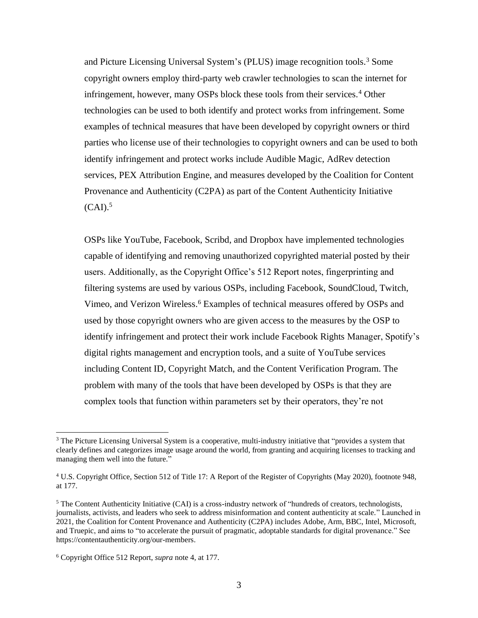and Picture Licensing Universal System's (PLUS) image recognition tools.<sup>3</sup> Some copyright owners employ third-party web crawler technologies to scan the internet for infringement, however, many OSPs block these tools from their services.<sup>4</sup> Other technologies can be used to both identify and protect works from infringement. Some examples of technical measures that have been developed by copyright owners or third parties who license use of their technologies to copyright owners and can be used to both identify infringement and protect works include Audible Magic, AdRev detection services, PEX Attribution Engine, and measures developed by the Coalition for Content Provenance and Authenticity (C2PA) as part of the Content Authenticity Initiative  $(CAI).$ <sup>5</sup>

OSPs like YouTube, Facebook, Scribd, and Dropbox have implemented technologies capable of identifying and removing unauthorized copyrighted material posted by their users. Additionally, as the Copyright Office's 512 Report notes, fingerprinting and filtering systems are used by various OSPs, including Facebook, SoundCloud, Twitch, Vimeo, and Verizon Wireless.<sup>6</sup> Examples of technical measures offered by OSPs and used by those copyright owners who are given access to the measures by the OSP to identify infringement and protect their work include Facebook Rights Manager, Spotify's digital rights management and encryption tools, and a suite of YouTube services including Content ID, Copyright Match, and the Content Verification Program. The problem with many of the tools that have been developed by OSPs is that they are complex tools that function within parameters set by their operators, they're not

<sup>&</sup>lt;sup>3</sup> The Picture Licensing Universal System is a cooperative, multi-industry initiative that "provides a system that clearly defines and categorizes image usage around the world, from granting and acquiring licenses to tracking and managing them well into the future."

<sup>4</sup> U.S. Copyright Office, Section 512 of Title 17: A Report of the Register of Copyrights (May 2020), footnote 948, at 177.

 $<sup>5</sup>$  The Content Authenticity Initiative (CAI) is a cross-industry network of "hundreds of creators, technologists,</sup> journalists, activists, and leaders who seek to address misinformation and content authenticity at scale." Launched in 2021, the Coalition for Content Provenance and Authenticity (C2PA) includes Adobe, Arm, BBC, Intel, Microsoft, and Truepic, and aims to "to accelerate the pursuit of pragmatic, adoptable standards for digital provenance." See https://contentauthenticity.org/our-members.

<sup>6</sup> Copyright Office 512 Report, *supra* note 4, at 177.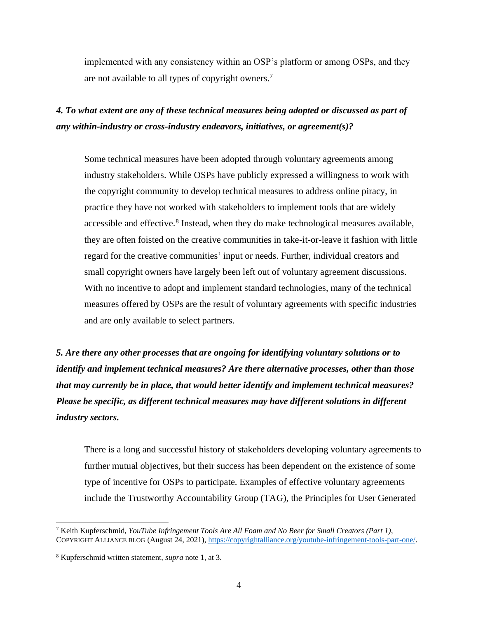implemented with any consistency within an OSP's platform or among OSPs, and they are not available to all types of copyright owners.<sup>7</sup>

## *4. To what extent are any of these technical measures being adopted or discussed as part of any within-industry or cross-industry endeavors, initiatives, or agreement(s)?*

Some technical measures have been adopted through voluntary agreements among industry stakeholders. While OSPs have publicly expressed a willingness to work with the copyright community to develop technical measures to address online piracy, in practice they have not worked with stakeholders to implement tools that are widely accessible and effective.<sup>8</sup> Instead, when they do make technological measures available, they are often foisted on the creative communities in take-it-or-leave it fashion with little regard for the creative communities' input or needs. Further, individual creators and small copyright owners have largely been left out of voluntary agreement discussions. With no incentive to adopt and implement standard technologies, many of the technical measures offered by OSPs are the result of voluntary agreements with specific industries and are only available to select partners.

*5. Are there any other processes that are ongoing for identifying voluntary solutions or to identify and implement technical measures? Are there alternative processes, other than those that may currently be in place, that would better identify and implement technical measures? Please be specific, as different technical measures may have different solutions in different industry sectors.*

There is a long and successful history of stakeholders developing voluntary agreements to further mutual objectives, but their success has been dependent on the existence of some type of incentive for OSPs to participate. Examples of effective voluntary agreements include the Trustworthy Accountability Group (TAG), the Principles for User Generated

<sup>7</sup> Keith Kupferschmid, *YouTube Infringement Tools Are All Foam and No Beer for Small Creators (Part 1)*, COPYRIGHT ALLIANCE BLOG (August 24, 2021), [https://copyrightalliance.org/youtube-infringement-tools-part-one/.](https://copyrightalliance.org/youtube-infringement-tools-part-one/)

<sup>8</sup> Kupferschmid written statement, *supra* note 1, at 3.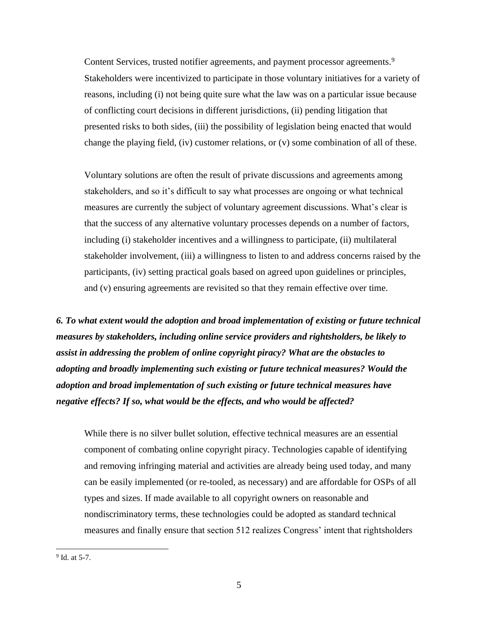Content Services, trusted notifier agreements, and payment processor agreements.<sup>9</sup> Stakeholders were incentivized to participate in those voluntary initiatives for a variety of reasons, including (i) not being quite sure what the law was on a particular issue because of conflicting court decisions in different jurisdictions, (ii) pending litigation that presented risks to both sides, (iii) the possibility of legislation being enacted that would change the playing field, (iv) customer relations, or (v) some combination of all of these.

Voluntary solutions are often the result of private discussions and agreements among stakeholders, and so it's difficult to say what processes are ongoing or what technical measures are currently the subject of voluntary agreement discussions. What's clear is that the success of any alternative voluntary processes depends on a number of factors, including (i) stakeholder incentives and a willingness to participate, (ii) multilateral stakeholder involvement, (iii) a willingness to listen to and address concerns raised by the participants, (iv) setting practical goals based on agreed upon guidelines or principles, and (v) ensuring agreements are revisited so that they remain effective over time.

*6. To what extent would the adoption and broad implementation of existing or future technical measures by stakeholders, including online service providers and rightsholders, be likely to assist in addressing the problem of online copyright piracy? What are the obstacles to adopting and broadly implementing such existing or future technical measures? Would the adoption and broad implementation of such existing or future technical measures have negative effects? If so, what would be the effects, and who would be affected?*

While there is no silver bullet solution, effective technical measures are an essential component of combating online copyright piracy. Technologies capable of identifying and removing infringing material and activities are already being used today, and many can be easily implemented (or re-tooled, as necessary) and are affordable for OSPs of all types and sizes. If made available to all copyright owners on reasonable and nondiscriminatory terms, these technologies could be adopted as standard technical measures and finally ensure that section 512 realizes Congress' intent that rightsholders

<sup>&</sup>lt;sup>9</sup> Id. at 5-7.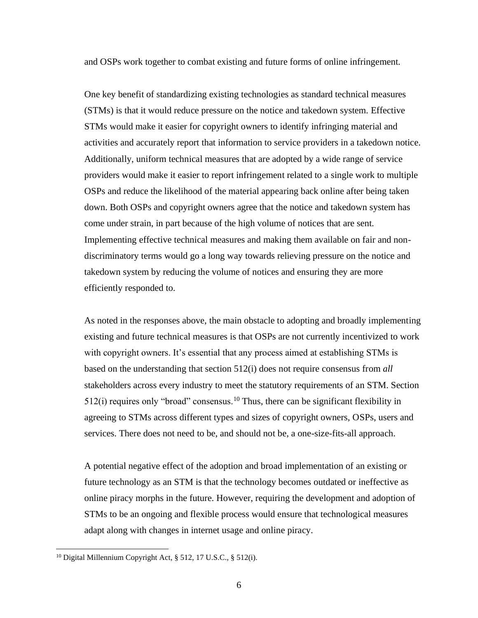and OSPs work together to combat existing and future forms of online infringement.

One key benefit of standardizing existing technologies as standard technical measures (STMs) is that it would reduce pressure on the notice and takedown system. Effective STMs would make it easier for copyright owners to identify infringing material and activities and accurately report that information to service providers in a takedown notice. Additionally, uniform technical measures that are adopted by a wide range of service providers would make it easier to report infringement related to a single work to multiple OSPs and reduce the likelihood of the material appearing back online after being taken down. Both OSPs and copyright owners agree that the notice and takedown system has come under strain, in part because of the high volume of notices that are sent. Implementing effective technical measures and making them available on fair and nondiscriminatory terms would go a long way towards relieving pressure on the notice and takedown system by reducing the volume of notices and ensuring they are more efficiently responded to.

As noted in the responses above, the main obstacle to adopting and broadly implementing existing and future technical measures is that OSPs are not currently incentivized to work with copyright owners. It's essential that any process aimed at establishing STMs is based on the understanding that section 512(i) does not require consensus from *all* stakeholders across every industry to meet the statutory requirements of an STM. Section  $512(i)$  requires only "broad" consensus.<sup>10</sup> Thus, there can be significant flexibility in agreeing to STMs across different types and sizes of copyright owners, OSPs, users and services. There does not need to be, and should not be, a one-size-fits-all approach.

A potential negative effect of the adoption and broad implementation of an existing or future technology as an STM is that the technology becomes outdated or ineffective as online piracy morphs in the future. However, requiring the development and adoption of STMs to be an ongoing and flexible process would ensure that technological measures adapt along with changes in internet usage and online piracy.

<sup>&</sup>lt;sup>10</sup> Digital Millennium Copyright Act,  $\S$  512, 17 U.S.C.,  $\S$  512(i).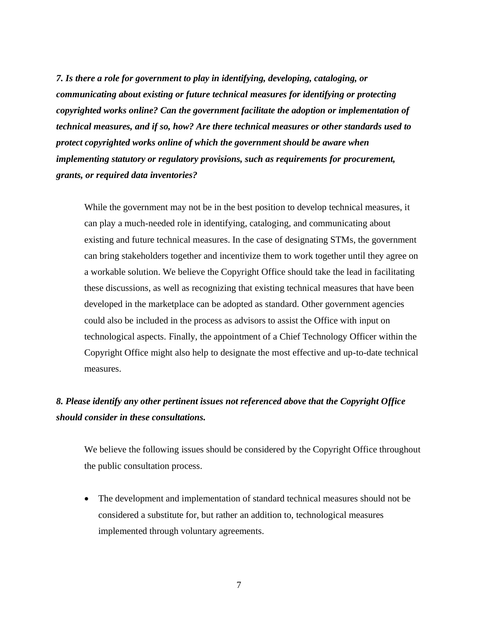*7. Is there a role for government to play in identifying, developing, cataloging, or communicating about existing or future technical measures for identifying or protecting copyrighted works online? Can the government facilitate the adoption or implementation of technical measures, and if so, how? Are there technical measures or other standards used to protect copyrighted works online of which the government should be aware when implementing statutory or regulatory provisions, such as requirements for procurement, grants, or required data inventories?*

While the government may not be in the best position to develop technical measures, it can play a much-needed role in identifying, cataloging, and communicating about existing and future technical measures. In the case of designating STMs, the government can bring stakeholders together and incentivize them to work together until they agree on a workable solution. We believe the Copyright Office should take the lead in facilitating these discussions, as well as recognizing that existing technical measures that have been developed in the marketplace can be adopted as standard. Other government agencies could also be included in the process as advisors to assist the Office with input on technological aspects. Finally, the appointment of a Chief Technology Officer within the Copyright Office might also help to designate the most effective and up-to-date technical measures.

## *8. Please identify any other pertinent issues not referenced above that the Copyright Office should consider in these consultations.*

We believe the following issues should be considered by the Copyright Office throughout the public consultation process.

• The development and implementation of standard technical measures should not be considered a substitute for, but rather an addition to, technological measures implemented through voluntary agreements.

7